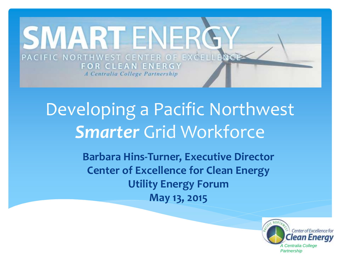

## Developing a Pacific Northwest *Smarter* Grid Workforce

**Barbara Hins-Turner, Executive Director Center of Excellence for Clean Energy Utility Energy Forum May 13, 2015**

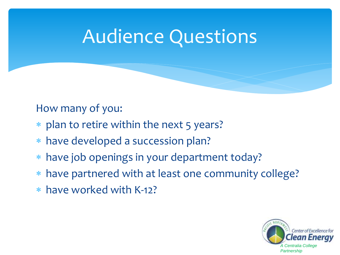## Audience Questions

#### How many of you:

- \* plan to retire within the next 5 years?
- have developed a succession plan?
- have job openings in your department today?
- have partnered with at least one community college?
- have worked with K-12?

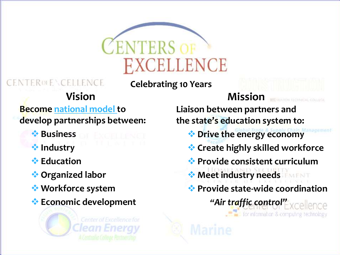

**EENTEROLE \CELLENCE** 

**Celebrating 10 Years**

#### **Vision Mission**

**Become national model to develop partnerships between:**

- *<b>* Business
- *<b>W* Industry
- **<del>☆</del>** Education
- **Organized labor**
- **Workforce system**
- **Economic development**

**Center of Excellence for** 

**Liaison between partners and the state's education system to:**

- **Drive the energy economy**
- **Create highly skilled workforce**
- **Provide consistent curriculum**
- **Meet industry needs**
- **Provide state-wide coordination**

*"Air traffic control"* for information & computing technology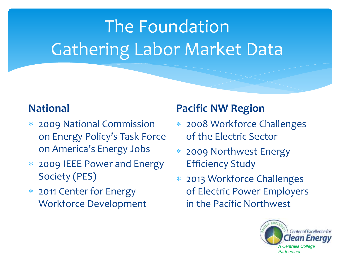# The Foundation Gathering Labor Market Data

#### **National**

- 2009 National Commission on Energy Policy's Task Force on America's Energy Jobs
- 2009 IEEE Power and Energy Society (PES)
- 2011 Center for Energy Workforce Development

#### **Pacific NW Region**

- 2008 Workforce Challenges of the Electric Sector
- 2009 Northwest Energy Efficiency Study
- 2013 Workforce Challenges of Electric Power Employers in the Pacific Northwest

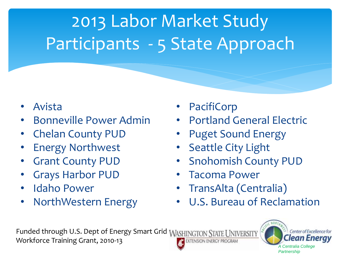# 2013 Labor Market Study Participants - 5 State Approach

- Avista
- Bonneville Power Admin
- Chelan County PUD
- Energy Northwest
- Grant County PUD
- Grays Harbor PUD
- Idaho Power
- NorthWestern Energy
- PacifiCorp
- Portland General Electric
- Puget Sound Energy
- **Seattle City Light**
- Snohomish County PUD
- Tacoma Power
- TransAlta (Centralia)
- U.S. Bureau of Reclamation

Funded through U.S. Dept of Energy Smart Grid WASHINGTON STATE UNIVERSITY Workforce Training Grant, 2010-13 **EXTENSION ENERGY PROGRAM** 

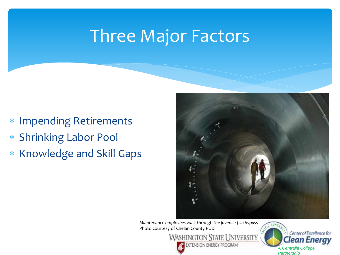## Three Major Factors

- Impending Retirements
- Shrinking Labor Pool
- \* Knowledge and Skill Gaps



*Maintenance employees walk through the juvenile fish bypass* Photo courtesy of Chelan County PUD

**WASHINGTON STATE UNIVERSITY** 

**EXTENSION ENERGY PROGRAM** 

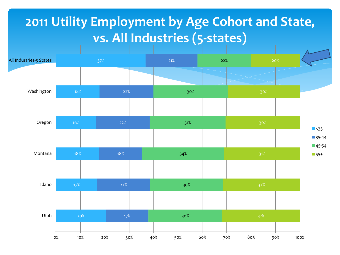### **2011 Utility Employment by Age Cohort and State, vs. All Industries (5-states)**

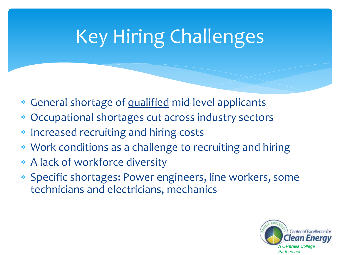# Key Hiring Challenges

- General shortage of qualified mid-level applicants
- Occupational shortages cut across industry sectors
- Increased recruiting and hiring costs
- Work conditions as a challenge to recruiting and hiring
- A lack of workforce diversity
- Specific shortages: Power engineers, line workers, some technicians and electricians, mechanics

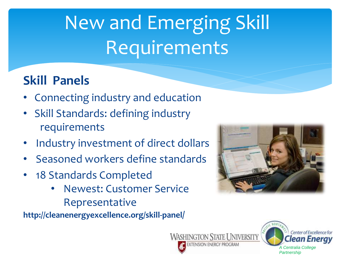# New and Emerging Skill Requirements

### **Skill Panels**

- Connecting industry and education
- Skill Standards: defining industry requirements
- Industry investment of direct dollars
- Seasoned workers define standards
- 18 Standards Completed
	- Newest: Customer Service Representative

**http://cleanenergyexcellence.org/skill-panel/**





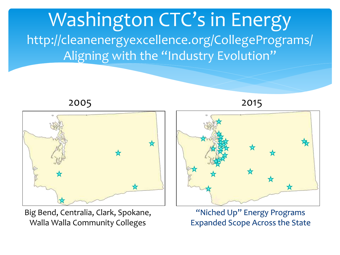



Big Bend, Centralia, Clark, Spokane, Walla Walla Community Colleges



"Niched Up" Energy Programs Expanded Scope Across the State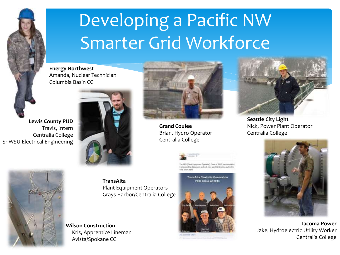

## Developing a Pacific NW Smarter Grid Workforce

**Energy Northwest** Amanda, Nuclear Technician Columbia Basin CC

**Lewis County PUD** Travis, Intern Centralia College Sr WSU Electrical Engineering





**Grand Coulee** Brian, Hydro Operator Centralia College



The PECS (Plant Equipment Operator) Class of 2013 has or system in the classroom and will now use that training out in the





**Seattle City Light**  Nick, Power Plant Operator Centralia College



**Tacoma Power** Jake, Hydroelectric Utility Worker Centralia College



**TransAlta** Plant Equipment Operators Grays Harbor/Centralia College

**Wilson Construction**  Kris, Apprentice Lineman Avista/Spokane CC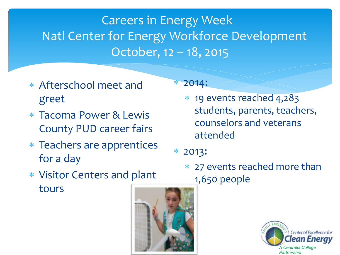## Careers in Energy Week Natl Center for Energy Workforce Development October, 12 – 18, 2015

- Afterschool meet and greet
- Tacoma Power & Lewis County PUD career fairs
- Teachers are apprentices for a day
- 2014:
	- 19 events reached 4,283 students, parents, teachers, counselors and veterans attended
- 2013:
	- 27 events reached more than 1,650 people

Center of Excellence for n Enerav *A Centralia College Partnership*

 Visitor Centers and plant tours

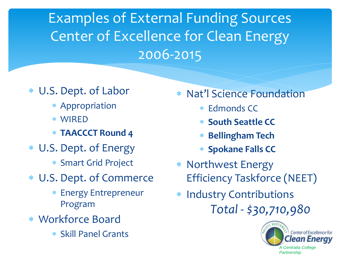Examples of External Funding Sources Center of Excellence for Clean Energy 2006-2015

- U.S. Dept. of Labor
	- Appropriation
	- WIRED
	- **TAACCCT Round 4**
- U.S. Dept. of Energy
	- Smart Grid Project
- U.S. Dept. of Commerce
	- Energy Entrepreneur Program
- Workforce Board
	- Skill Panel Grants
- Nat'l Science Foundation
	- Edmonds CC
	- **South Seattle CC**
	- **Bellingham Tech**
	- **Spokane Falls CC**
- Northwest Energy Efficiency Taskforce (NEET)
- \* Industry Contributions *Total - \$30,710,980*

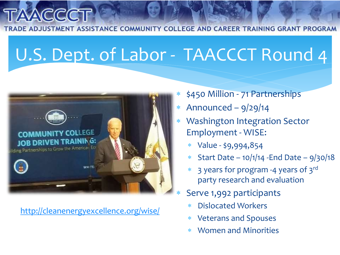ADE ADJUSTMENT ASSISTANCE COMMUNITY COLLEGE AND CAREER TRAINING GRANT PROGRAM

## U.S. Dept. of Labor - TAACCCT Round 4



<http://cleanenergyexcellence.org/wise/>

- \$450 Million 71 Partnerships
- Announced 9/29/14
- Washington Integration Sector Employment - WISE:
	- $*$  Value \$9,994,854
	- \* Start Date  $10/1/14$  -End Date  $9/30/18$
	- \* 3 years for program -4 years of 3rd party research and evaluation
	- Serve 1,992 participants
		- Dislocated Workers
		- Veterans and Spouses
		- Women and Minorities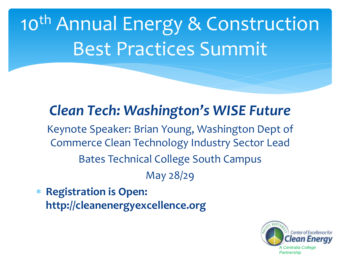10<sup>th</sup> Annual Energy & Construction Best Practices Summit

## *Clean Tech: Washington's WISE Future*

Keynote Speaker: Brian Young, Washington Dept of Commerce Clean Technology Industry Sector Lead Bates Technical College South Campus May 28/29

 **Registration is Open: http://cleanenergyexcellence.org**

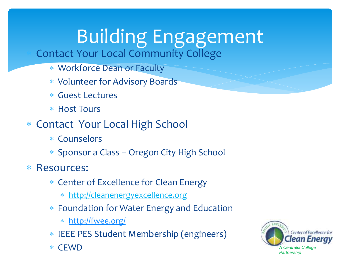# Building Engagement

Contact Your Local Community College

- Workforce Dean or Faculty
- Volunteer for Advisory Boards
- Guest Lectures
- Host Tours
- Contact Your Local High School
	- Counselors
	- Sponsor a Class Oregon City High School
- Resources:
	- Center of Excellence for Clean Energy
		- http://cleanenergyexcellence.org
	- Foundation for Water Energy and Education
		- [http://fwee.org/](http://fwee.org/education/the-nature-of-water-power/)
	- IEEE PES Student Membership (engineers)
	- CEWD

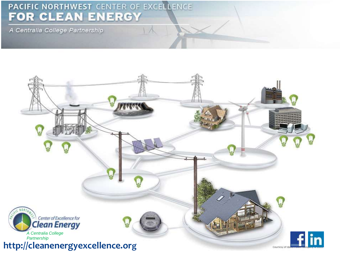# PACIFIC NORTHWEST CENTER OF EXCELLENCE FOR CLEAN ENERGY

A Centralia College Partnership



 $\wedge$